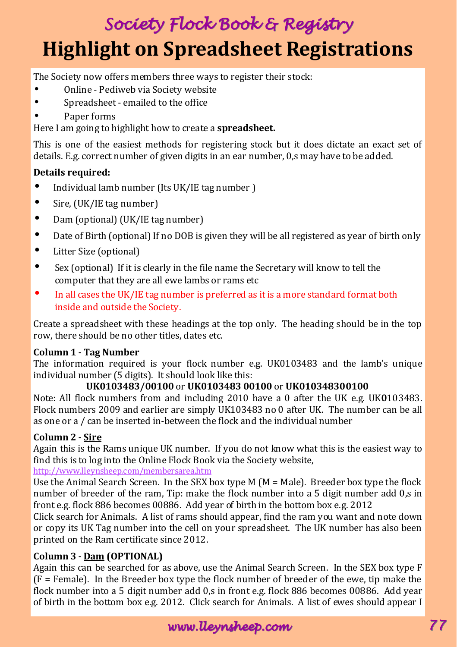# Society Flock Book & Registry **Highlight on Spreadsheet Registrations**

The Society now offers members three ways to register their stock:

- Online Pediweb via Society website
- Spreadsheet emailed to the office
- Paper forms

Here I am going to highlight how to create a **spreadsheet.**

This is one of the easiest methods for registering stock but it does dictate an exact set of details. E.g. correct number of given digits in an ear number, 0,s may have to be added.

#### **Details required:**

- Individual lamb number (Its UK/IE tag number )
- Sire, (UK/IE tag number)
- Dam (optional) (UK/IE tag number)
- Date of Birth (optional) If no DOB is given they will be all registered as year of birth only
- Litter Size (optional)
- Sex (optional) If it is clearly in the file name the Secretary will know to tell the computer that they are all ewe lambs or rams etc
- In all cases the UK/IE tag number is preferred as it is a more standard format both inside and outside the Society.

Create a spreadsheet with these headings at the top only. The heading should be in the top row, there should be no other titles, dates etc.

#### **Column 1 - Tag Number**

The information required is your flock number e.g. UK0103483 and the lamb's unique individual number (5 digits). It should look like this:

#### **UK0103483/00100** or **UK0103483 00100** or **UK010348300100**

Note: All flock numbers from and including 2010 have a 0 after the UK e.g. UK**0**103483. Flock numbers 2009 and earlier are simply UK103483 no 0 after UK. The number can be all as one or a / can be inserted in-between the flock and the individual number

#### **Column 2 - Sire**

Again this is the Rams unique UK number. If you do not know what this is the easiest way to find this is to log into the Online Flock Book via the Society website,

http://www.lleynsheep.com/membersarea.htm

Use the Animal Search Screen. In the SEX box type M  $(M = Male)$ . Breeder box type the flock number of breeder of the ram, Tip: make the flock number into a 5 digit number add 0,s in front e.g. flock 886 becomes 00886. Add year of birth in the bottom box e.g. 2012

Click search for Animals. A list of rams should appear, find the ram you want and note down or copy its UK Tag number into the cell on your spreadsheet. The UK number has also been printed on the Ram certificate since 2012.

#### **Column 3 - Dam (OPTIONAL)**

Again this can be searched for as above, use the Animal Search Screen. In the SEX box type F (F = Female). In the Breeder box type the flock number of breeder of the ewe, tip make the flock number into a 5 digit number add 0,s in front e.g. flock 886 becomes 00886. Add year of birth in the bottom box e.g. 2012. Click search for Animals. A list of ewes should appear I

www.lleynsheep.com 77